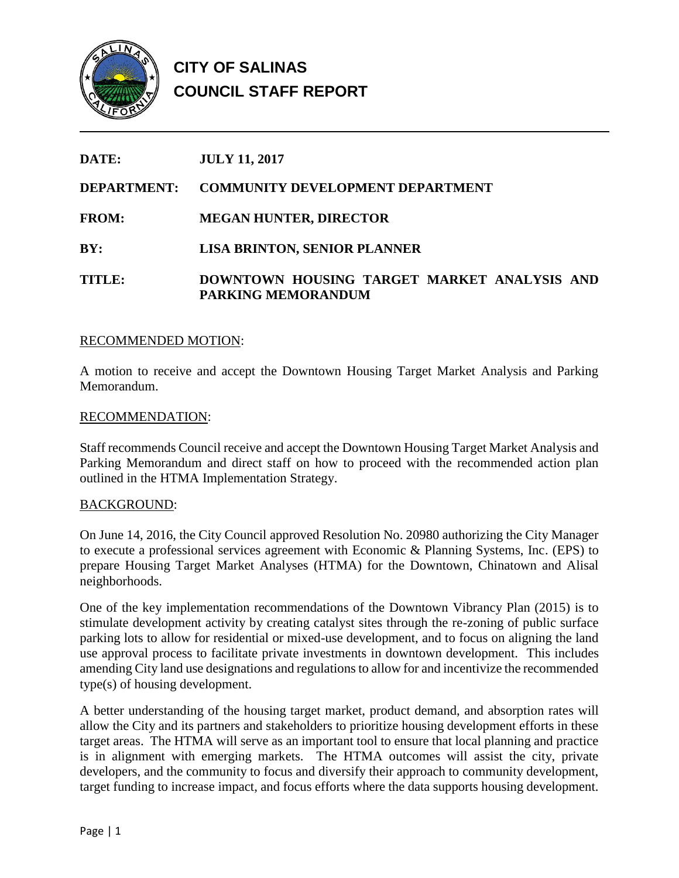

| DATE:              | <b>JULY 11, 2017</b>                                                     |
|--------------------|--------------------------------------------------------------------------|
| <b>DEPARTMENT:</b> | <b>COMMUNITY DEVELOPMENT DEPARTMENT</b>                                  |
| <b>FROM:</b>       | <b>MEGAN HUNTER, DIRECTOR</b>                                            |
| BY:                | <b>LISA BRINTON, SENIOR PLANNER</b>                                      |
| TITLE:             | DOWNTOWN HOUSING TARGET MARKET ANALYSIS AND<br><b>PARKING MEMORANDUM</b> |

### RECOMMENDED MOTION:

A motion to receive and accept the Downtown Housing Target Market Analysis and Parking Memorandum.

### RECOMMENDATION:

Staff recommends Council receive and accept the Downtown Housing Target Market Analysis and Parking Memorandum and direct staff on how to proceed with the recommended action plan outlined in the HTMA Implementation Strategy.

### BACKGROUND:

On June 14, 2016, the City Council approved Resolution No. 20980 authorizing the City Manager to execute a professional services agreement with Economic & Planning Systems, Inc. (EPS) to prepare Housing Target Market Analyses (HTMA) for the Downtown, Chinatown and Alisal neighborhoods.

One of the key implementation recommendations of the Downtown Vibrancy Plan (2015) is to stimulate development activity by creating catalyst sites through the re-zoning of public surface parking lots to allow for residential or mixed-use development, and to focus on aligning the land use approval process to facilitate private investments in downtown development. This includes amending City land use designations and regulations to allow for and incentivize the recommended type(s) of housing development.

A better understanding of the housing target market, product demand, and absorption rates will allow the City and its partners and stakeholders to prioritize housing development efforts in these target areas. The HTMA will serve as an important tool to ensure that local planning and practice is in alignment with emerging markets. The HTMA outcomes will assist the city, private developers, and the community to focus and diversify their approach to community development, target funding to increase impact, and focus efforts where the data supports housing development.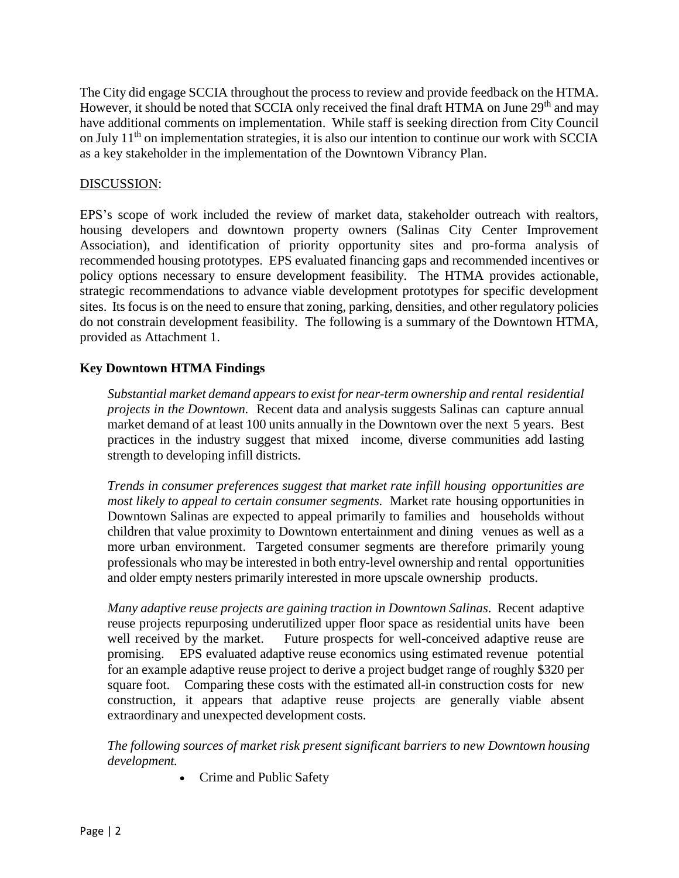The City did engage SCCIA throughout the process to review and provide feedback on the HTMA. However, it should be noted that SCCIA only received the final draft HTMA on June 29<sup>th</sup> and may have additional comments on implementation. While staff is seeking direction from City Council on July 11<sup>th</sup> on implementation strategies, it is also our intention to continue our work with SCCIA as a key stakeholder in the implementation of the Downtown Vibrancy Plan.

### DISCUSSION:

EPS's scope of work included the review of market data, stakeholder outreach with realtors, housing developers and downtown property owners (Salinas City Center Improvement Association), and identification of priority opportunity sites and pro-forma analysis of recommended housing prototypes. EPS evaluated financing gaps and recommended incentives or policy options necessary to ensure development feasibility. The HTMA provides actionable, strategic recommendations to advance viable development prototypes for specific development sites. Its focus is on the need to ensure that zoning, parking, densities, and other regulatory policies do not constrain development feasibility. The following is a summary of the Downtown HTMA, provided as Attachment 1.

## **Key Downtown HTMA Findings**

*Substantial market demand appearsto exist for near-term ownership and rental residential projects in the Downtown.* Recent data and analysis suggests Salinas can capture annual market demand of at least 100 units annually in the Downtown over the next 5 years. Best practices in the industry suggest that mixed income, diverse communities add lasting strength to developing infill districts.

*Trends in consumer preferences suggest that market rate infill housing opportunities are most likely to appeal to certain consumer segments.* Market rate housing opportunities in Downtown Salinas are expected to appeal primarily to families and households without children that value proximity to Downtown entertainment and dining venues as well as a more urban environment. Targeted consumer segments are therefore primarily young professionals who may be interested in both entry-level ownership and rental opportunities and older empty nesters primarily interested in more upscale ownership products.

*Many adaptive reuse projects are gaining traction in Downtown Salinas*. Recent adaptive reuse projects repurposing underutilized upper floor space as residential units have been well received by the market. Future prospects for well-conceived adaptive reuse are promising. EPS evaluated adaptive reuse economics using estimated revenue potential for an example adaptive reuse project to derive a project budget range of roughly \$320 per square foot. Comparing these costs with the estimated all-in construction costs for new construction, it appears that adaptive reuse projects are generally viable absent extraordinary and unexpected development costs.

*The following sources of market risk present significant barriers to new Downtown housing development.*

• Crime and Public Safety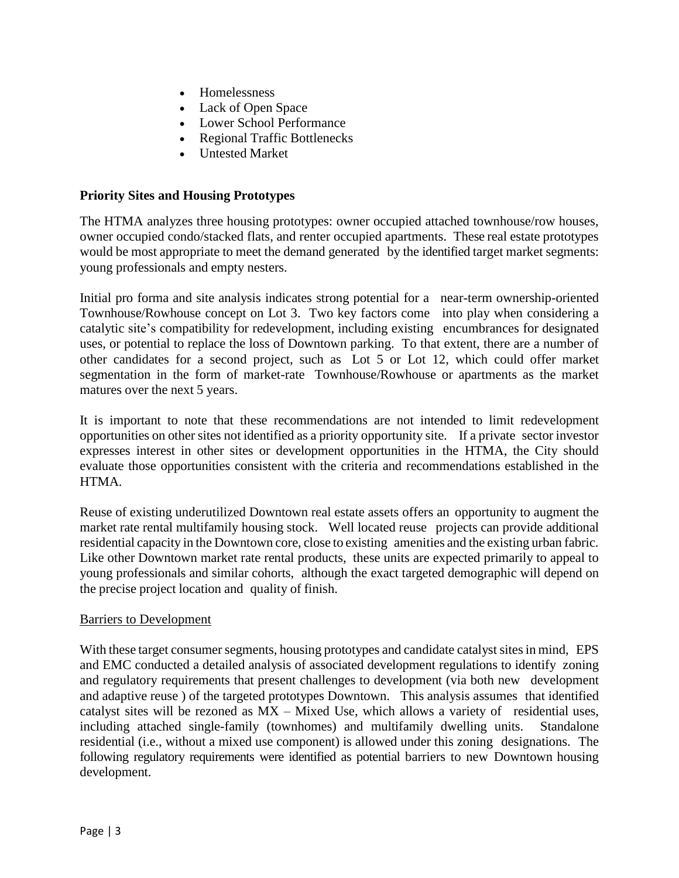- Homelessness
- Lack of Open Space
- Lower School Performance
- Regional Traffic Bottlenecks
- Untested Market

# **Priority Sites and Housing Prototypes**

The HTMA analyzes three housing prototypes: owner occupied attached townhouse/row houses, owner occupied condo/stacked flats, and renter occupied apartments. These real estate prototypes would be most appropriate to meet the demand generated by the identified target market segments: young professionals and empty nesters.

Initial pro forma and site analysis indicates strong potential for a near-term ownership-oriented Townhouse/Rowhouse concept on Lot 3. Two key factors come into play when considering a catalytic site's compatibility for redevelopment, including existing encumbrances for designated uses, or potential to replace the loss of Downtown parking. To that extent, there are a number of other candidates for a second project, such as Lot 5 or Lot 12, which could offer market segmentation in the form of market-rate Townhouse/Rowhouse or apartments as the market matures over the next 5 years.

It is important to note that these recommendations are not intended to limit redevelopment opportunities on other sites not identified as a priority opportunity site. If a private sector investor expresses interest in other sites or development opportunities in the HTMA, the City should evaluate those opportunities consistent with the criteria and recommendations established in the HTMA.

Reuse of existing underutilized Downtown real estate assets offers an opportunity to augment the market rate rental multifamily housing stock. Well located reuse projects can provide additional residential capacity in the Downtown core, close to existing amenities and the existing urban fabric. Like other Downtown market rate rental products, these units are expected primarily to appeal to young professionals and similar cohorts, although the exact targeted demographic will depend on the precise project location and quality of finish.

### Barriers to Development

With these target consumer segments, housing prototypes and candidate catalyst sites in mind, EPS and EMC conducted a detailed analysis of associated development regulations to identify zoning and regulatory requirements that present challenges to development (via both new development and adaptive reuse ) of the targeted prototypes Downtown. This analysis assumes that identified catalyst sites will be rezoned as MX – Mixed Use, which allows a variety of residential uses, including attached single-family (townhomes) and multifamily dwelling units. Standalone residential (i.e., without a mixed use component) is allowed under this zoning designations. The following regulatory requirements were identified as potential barriers to new Downtown housing development.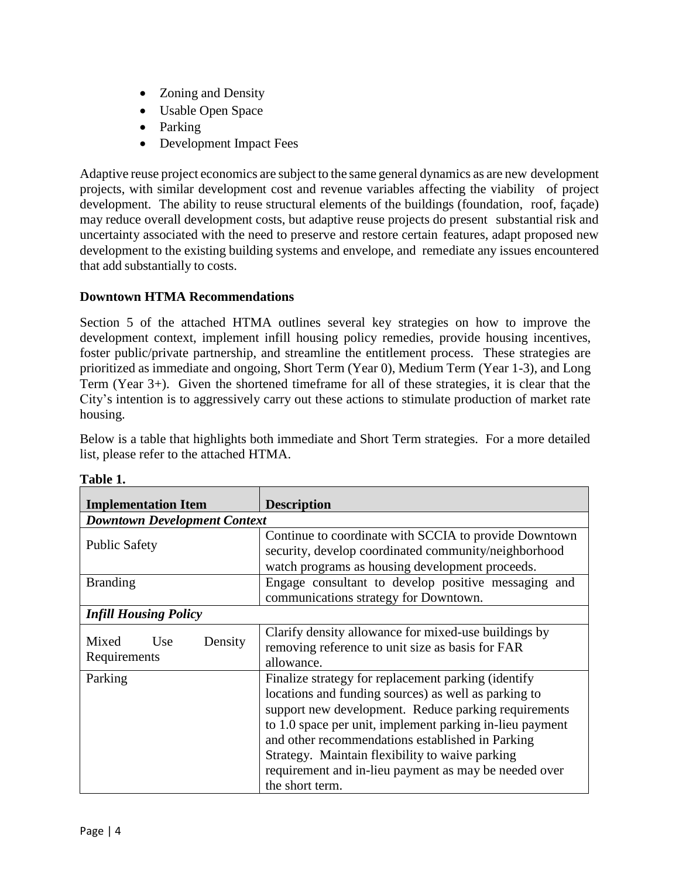- Zoning and Density
- Usable Open Space
- Parking
- Development Impact Fees

Adaptive reuse project economics are subject to the same general dynamics as are new development projects, with similar development cost and revenue variables affecting the viability of project development. The ability to reuse structural elements of the buildings (foundation, roof, façade) may reduce overall development costs, but adaptive reuse projects do present substantial risk and uncertainty associated with the need to preserve and restore certain features, adapt proposed new development to the existing building systems and envelope, and remediate any issues encountered that add substantially to costs.

# **Downtown HTMA Recommendations**

Section 5 of the attached HTMA outlines several key strategies on how to improve the development context, implement infill housing policy remedies, provide housing incentives, foster public/private partnership, and streamline the entitlement process. These strategies are prioritized as immediate and ongoing, Short Term (Year 0), Medium Term (Year 1-3), and Long Term (Year 3+). Given the shortened timeframe for all of these strategies, it is clear that the City's intention is to aggressively carry out these actions to stimulate production of market rate housing.

Below is a table that highlights both immediate and Short Term strategies. For a more detailed list, please refer to the attached HTMA.

| <b>Implementation Item</b>              | <b>Description</b>                                                                                                                                                                                                                                                                                                                                                                                                 |  |  |  |
|-----------------------------------------|--------------------------------------------------------------------------------------------------------------------------------------------------------------------------------------------------------------------------------------------------------------------------------------------------------------------------------------------------------------------------------------------------------------------|--|--|--|
| <b>Downtown Development Context</b>     |                                                                                                                                                                                                                                                                                                                                                                                                                    |  |  |  |
| <b>Public Safety</b>                    | Continue to coordinate with SCCIA to provide Downtown<br>security, develop coordinated community/neighborhood<br>watch programs as housing development proceeds.                                                                                                                                                                                                                                                   |  |  |  |
| <b>Branding</b>                         | Engage consultant to develop positive messaging and<br>communications strategy for Downtown.                                                                                                                                                                                                                                                                                                                       |  |  |  |
| <b>Infill Housing Policy</b>            |                                                                                                                                                                                                                                                                                                                                                                                                                    |  |  |  |
| Mixed<br>Use<br>Density<br>Requirements | Clarify density allowance for mixed-use buildings by<br>removing reference to unit size as basis for FAR<br>allowance.                                                                                                                                                                                                                                                                                             |  |  |  |
| Parking                                 | Finalize strategy for replacement parking (identify<br>locations and funding sources) as well as parking to<br>support new development. Reduce parking requirements<br>to 1.0 space per unit, implement parking in-lieu payment<br>and other recommendations established in Parking<br>Strategy. Maintain flexibility to waive parking<br>requirement and in-lieu payment as may be needed over<br>the short term. |  |  |  |

| ını<br>16<br>я |  |
|----------------|--|
|                |  |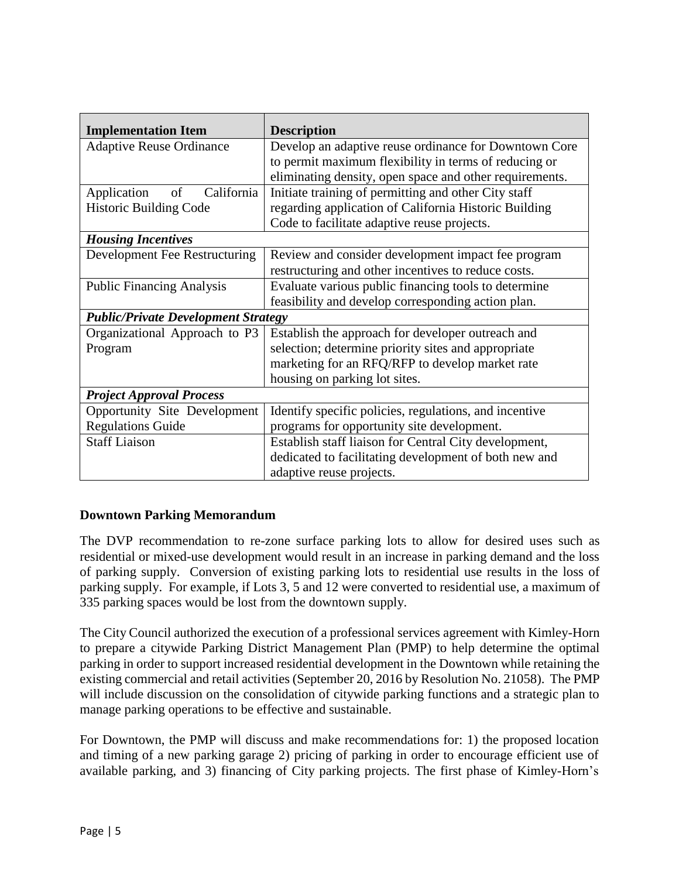| <b>Implementation Item</b>                 | <b>Description</b>                                      |  |  |  |
|--------------------------------------------|---------------------------------------------------------|--|--|--|
| <b>Adaptive Reuse Ordinance</b>            | Develop an adaptive reuse ordinance for Downtown Core   |  |  |  |
|                                            | to permit maximum flexibility in terms of reducing or   |  |  |  |
|                                            | eliminating density, open space and other requirements. |  |  |  |
| Application<br>of<br>California            | Initiate training of permitting and other City staff    |  |  |  |
| <b>Historic Building Code</b>              | regarding application of California Historic Building   |  |  |  |
|                                            | Code to facilitate adaptive reuse projects.             |  |  |  |
| <b>Housing Incentives</b>                  |                                                         |  |  |  |
| Development Fee Restructuring              | Review and consider development impact fee program      |  |  |  |
|                                            | restructuring and other incentives to reduce costs.     |  |  |  |
| <b>Public Financing Analysis</b>           | Evaluate various public financing tools to determine    |  |  |  |
|                                            | feasibility and develop corresponding action plan.      |  |  |  |
| <b>Public/Private Development Strategy</b> |                                                         |  |  |  |
| Organizational Approach to P3              | Establish the approach for developer outreach and       |  |  |  |
| Program                                    | selection; determine priority sites and appropriate     |  |  |  |
|                                            | marketing for an RFQ/RFP to develop market rate         |  |  |  |
|                                            | housing on parking lot sites.                           |  |  |  |
| <b>Project Approval Process</b>            |                                                         |  |  |  |
| Opportunity Site Development               | Identify specific policies, regulations, and incentive  |  |  |  |
| <b>Regulations Guide</b>                   | programs for opportunity site development.              |  |  |  |
| <b>Staff Liaison</b>                       | Establish staff liaison for Central City development,   |  |  |  |
|                                            | dedicated to facilitating development of both new and   |  |  |  |
|                                            | adaptive reuse projects.                                |  |  |  |

# **Downtown Parking Memorandum**

The DVP recommendation to re-zone surface parking lots to allow for desired uses such as residential or mixed-use development would result in an increase in parking demand and the loss of parking supply. Conversion of existing parking lots to residential use results in the loss of parking supply. For example, if Lots 3, 5 and 12 were converted to residential use, a maximum of 335 parking spaces would be lost from the downtown supply.

The City Council authorized the execution of a professional services agreement with Kimley-Horn to prepare a citywide Parking District Management Plan (PMP) to help determine the optimal parking in order to support increased residential development in the Downtown while retaining the existing commercial and retail activities (September 20, 2016 by Resolution No. 21058). The PMP will include discussion on the consolidation of citywide parking functions and a strategic plan to manage parking operations to be effective and sustainable.

For Downtown, the PMP will discuss and make recommendations for: 1) the proposed location and timing of a new parking garage 2) pricing of parking in order to encourage efficient use of available parking, and 3) financing of City parking projects. The first phase of Kimley-Horn's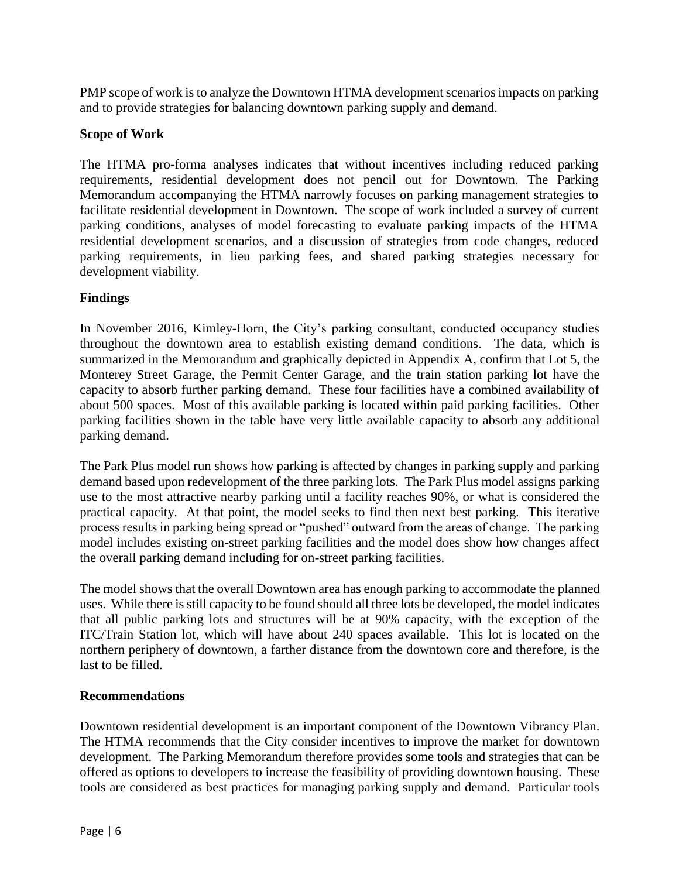PMP scope of work is to analyze the Downtown HTMA development scenarios impacts on parking and to provide strategies for balancing downtown parking supply and demand.

## **Scope of Work**

The HTMA pro-forma analyses indicates that without incentives including reduced parking requirements, residential development does not pencil out for Downtown. The Parking Memorandum accompanying the HTMA narrowly focuses on parking management strategies to facilitate residential development in Downtown. The scope of work included a survey of current parking conditions, analyses of model forecasting to evaluate parking impacts of the HTMA residential development scenarios, and a discussion of strategies from code changes, reduced parking requirements, in lieu parking fees, and shared parking strategies necessary for development viability.

# **Findings**

In November 2016, Kimley-Horn, the City's parking consultant, conducted occupancy studies throughout the downtown area to establish existing demand conditions. The data, which is summarized in the Memorandum and graphically depicted in Appendix A, confirm that Lot 5, the Monterey Street Garage, the Permit Center Garage, and the train station parking lot have the capacity to absorb further parking demand. These four facilities have a combined availability of about 500 spaces. Most of this available parking is located within paid parking facilities. Other parking facilities shown in the table have very little available capacity to absorb any additional parking demand.

The Park Plus model run shows how parking is affected by changes in parking supply and parking demand based upon redevelopment of the three parking lots. The Park Plus model assigns parking use to the most attractive nearby parking until a facility reaches 90%, or what is considered the practical capacity. At that point, the model seeks to find then next best parking. This iterative process results in parking being spread or "pushed" outward from the areas of change. The parking model includes existing on-street parking facilities and the model does show how changes affect the overall parking demand including for on-street parking facilities.

The model shows that the overall Downtown area has enough parking to accommodate the planned uses. While there is still capacity to be found should all three lots be developed, the model indicates that all public parking lots and structures will be at 90% capacity, with the exception of the ITC/Train Station lot, which will have about 240 spaces available. This lot is located on the northern periphery of downtown, a farther distance from the downtown core and therefore, is the last to be filled.

# **Recommendations**

Downtown residential development is an important component of the Downtown Vibrancy Plan. The HTMA recommends that the City consider incentives to improve the market for downtown development. The Parking Memorandum therefore provides some tools and strategies that can be offered as options to developers to increase the feasibility of providing downtown housing. These tools are considered as best practices for managing parking supply and demand. Particular tools